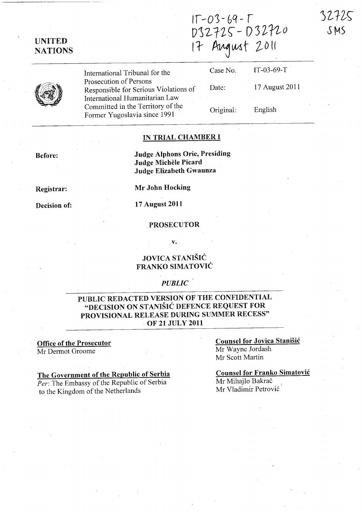32725 SMS

| $1\Gamma - 03 - 69 - 1$ |  |
|-------------------------|--|
| 032725-032720           |  |
| 17 August 2011          |  |

UNITED **NATIONS** 

> International Tribunal for the Prosecution of Persons Responsible for Serious Violations of International Humanitarian Law Committed in the Territory of the Former Yugoslavia since 1991

| Case No.  | $IT-03-69-T$   |
|-----------|----------------|
| Date:     | 17 August 2011 |
| Original: | English        |

#### IN TRIAL CHAMBER I

Judge Alphons Orie, Presiding Judge Michèle Picard Judge Elizabeth Gwaunza

Registrar:

Before:

Decision of:

Mr John Hocking

# 17 August 2011

## PROSECUTOR

.v.

## JOVICA STANISIC FRANKO SIMATOVIC

#### *PUBLIC*

#### PUBLIC REDACTED VERSION OF THE CONFIDENTIAL "DECISION ON STANISIC DEFENCE REQUEST FOR PROVISIONAL RELEASE DURING SUMMER RECESS" . OF 21 JULY 2011

Office of the Prosecutor Mr Dermot Groome

#### The Government of the Republic of Serbia *Per:* The Embassy of the Republic of Serbia

to the Kingdom of the Netherlands

Counsel for Jovica Stanisic Mr Wayne lordash Mr Scott Martin

Counsel for Franko Simatovic Mr Mihajlo Bakrač Mr Vladimir Petrović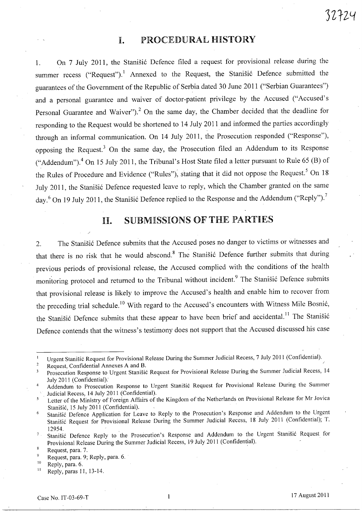## I. PROCEDURAL HISTORY

1. On 7 July 2011, the Stanišić Defence filed a request for provisional release during the summer recess ("Request").<sup>1</sup> Annexed to the Request, the Stanisic Defence submitted the guarantees of the Government of the Republic of Serbia dated 30 June 2011 ("Serbian Guarantees") and a personal guarantee and waiver of doctor-patient privilege by the Accused ("Accused's Personal Guarantee and Waiver").<sup>2</sup> On the same day, the Chamber decided that the deadline for responding to the Request would be shortened to 14 July 2011 and informed the parties accordingly through an informal communication. On 14 July 2011, the Prosecution responded ("Response"), opposing the Request.<sup>3</sup> On the same day, the Prosecution filed an Addendum to its Response ("Addendum").<sup>4</sup> On 15 July 2011, the Tribunal's Host State filed a letter pursuant to Rule 65 (B) of the Rules of Procedure and Evidence ("Rules"), stating that it did not oppose the Request.<sup>5</sup> On 18 July 2011, the Stanišić Defence requested leave to reply, which the Chamber granted on the same day.<sup>6</sup> On 19 July 2011, the Stanisić Defence replied to the Response and the Addendum ("Reply").<sup>7</sup>

# II. SUBMISSIONS OF THE PARTIES

2. The Stanišić Defence submits that the Accused poses no danger to victims or witnesses and that there is no risk that he would abscond.<sup>8</sup> The Stanisic Defence further submits that during previous periods of provisional release, the Accused complied with the conditions of the health monitoring protocol and returned to the Tribunal without incident.<sup>9</sup> The Stanišić Defence submits that provisional release is likely to improve the Accused's health and enable him to recover from the preceding trial schedule.<sup>10</sup> With regard to the Accused's encounters with Witness Mile Bosnić, the Stanišić Defence submits that these appear to have been brief and accidental.<sup>11</sup> The Stanišić Defence contends that the witness's testimony does not support that the Accused discussed his case

Urgent Stanisic Request for Provisional Release During the Summer Judicial Recess, 7 July 2011 (Confidential).  $\overline{1}$ 

 $\overline{2}$ Request, Confidential Annexes A and B.

Prosecution Response to Urgent Stanišić Request for Provisional Release During the Summer Judicial Recess, 14  $\overline{\mathbf{3}}$ July 2011 (Confidential).

Addendum to Prosecution Response to Urgent Stanišić Request for Provisional Release During the Summer  $\overline{4}$ Judicial Recess, 14 July 2011 (Confidential).

Letter of the Ministry of Foreign Affairs of the Kingdom of the Netherlands on Provisional Release for Mr Jovica 5 Stanišić, 15 July 2011 (Confidential).

<sup>6</sup>  Stanisic Defence Application for Leave to Reply to the Prosecution's Response and Addendum to the Urgent Stanisic Request for Provisional Release During the Summer Judicial Recess, 18 July 2011 (Confidential); T. 12954.

Stanisic Defence Reply to the Prosecution's Response and Addendum to the Urgent Stanisic Request for  $\mathbf 7$  . Provisional Release During the Summer Judicial Recess, 19 July 2011 (Confidential). .

Request, para. 7. .

Request, para. 9; Reply, para. 6.

 $^{10}$  Reply, para. 6.

 $11$  Reply, paras 11, 13-14.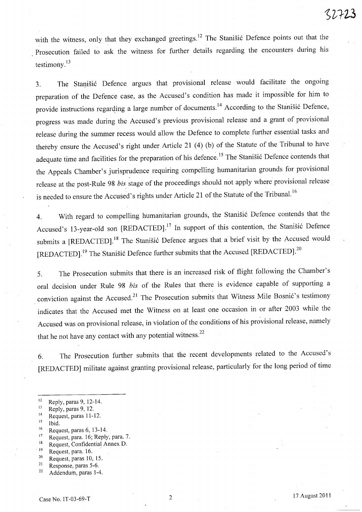with the witness, only that they exchanged greetings.<sup>12</sup> The Stanisic Defence points out that the Prosecution failed to ask the witness for further details regarding the encounters during his testimony. $^{13}$ 

3. The Stanišić Defence argues that provisional release would facilitate the ongoing preparation of the Defence case, as the Accused's condition has made it impossible for him to provide instructions regarding a large number of documents.<sup>14</sup> According to the Stanišić Defence, progress was made during the Accused's previous provisional release and a grant of provisional release during the summer recess would allow the Defence to complete further essential tasks and thereby ensure the Accused's right under Article 21 (4) (b) of the Statute of the Tribunal to have adequate time and facilities for the preparation of his defence.<sup>15</sup> The Stanišić Defence contends that the Appeals Chamber's jurisprudence requiring compelling humanitarian grounds for provisional release at the post-Rule 98 *bis* stage of the proceedings should not apply where provisional release is needed to ensure the Accused's rights under Article 21 of the Statute of the Tribunal.<sup>16</sup>

4. With regard to compelling humanitarian grounds, the Stanišić Defence contends that the Accused's 13-year-old son [REDACTED].<sup>17</sup> In support of this contention, the Stanišić Defence submits a [REDACTED].<sup>18</sup> The Stanišić Defence argues that a brief visit by the Accused would [REDACTED].<sup>19</sup> The Stanišić Defence further submits that the Accused [REDACTED].<sup>20</sup>

5. The Prosecution submits that there is an increased risk of flight following the Chamber's oral decision under Rule 98 *bis* of the Rules that there is evidence capable of supporting a conviction against the Accused.<sup>21</sup> The Prosecution submits that Witness Mile Bosnić's testimony indicates that the Accused met the Witness on at least one occasion in or after 2003 while the Accused was on provisional release, in violation of the conditions of his provisional release, namely that he not have any contact with any potential witness.<sup>22</sup>

6. The Prosecution further submits that the recent developments related to the Accused's [REDACTED] militate against granting provisional release, particularly for the long period of time

14 Request, paras 11-12.

- 16 Request, paras 6, 13-14.
- <sup>17</sup> Request, para. 16; Reply, para. 7.
- 18 Request, Confidential Annex D.
- $19$  Request, para. 16.
- $20$  Request, paras 10, 15.
- 21 Response, paras 5-6.

<sup>&</sup>lt;sup>12</sup> Reply, paras 9, 12-14.

<sup>&</sup>lt;sup>13</sup> Reply, paras 9, 12.

 $15$  Ibid.

<sup>22</sup> Addendum, paras 1-4.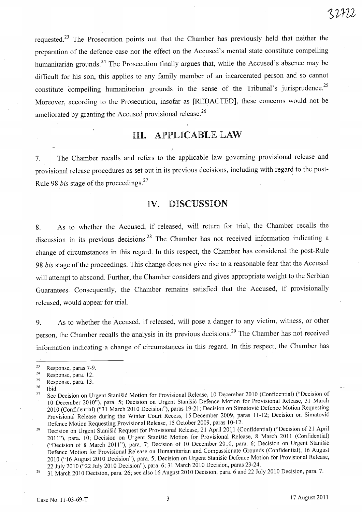requested.<sup>23</sup> The Prosecution points out that the Chamber has previously held that neither the preparation of the defence case nor the effect on the Accused's mental state constitute compelling humanitarian grounds.<sup>24</sup> The Prosecution finally argues that, while the Accused's absence may be difficult for his son, this applies to any family member of an incarcerated person and so cannot constitute compelling humanitarian grounds in the sense of the Tribunal's jurisprudence.<sup>25</sup> Moreover, according to the Prosecution, insofar as [REDACTED], these concerns would not be ameliorated by granting the Accused provisional release.<sup>26</sup>

# III. APPLICABLE LAW

7. The Chamber recalls and refers to the applicable law governing provisional release and provisional release procedures as set out in its previous decisions, including with regard to the post-Rule 98 *bis* stage of the proceedings. <sup>27</sup>

## IV. DISCUSSION

8. As to whether the Accused, if released, will return for trial, the Chamber recalls the discussion in its previous decisions.<sup>28</sup> The Chamber has not received information indicating a change of circumstances in this regard. In this respect, the Chamber has considered the post-Rule *98 bis* stage of the proceedings. This change does not give rise to a reasonable fear that the Accused will attempt to abscond. Further, the Chamber considers and gives appropriate weight to the Serbian Guarantees. Consequently, the Chamber remains satisfied that the Accused, if provisionally released, would appear for trial.

9. As to whether the Accused, if released, will pose a danger to any victim, witness, or other person, the Chamber recalls the analysis in its previous decisions. 29 The Chamber has not received information indicating a change of circumstances in this regard. In this respect, the Chamber has

 $^{26}$  Ibid.

<sup>23</sup> Response, paras 7-9.

<sup>&</sup>lt;sup>24</sup> Response, para. 12.

 $25$  Response, para. 13.

<sup>27</sup>  See Decision on Urgent Stanisic Motion for Provisional Release, 10 December 2010 (Confidential) ("Decision of 10 December 2010"), para. 5; Decision on Urgent Stanisic Defence Motion for Provisional Release, 31 March 2010 (Confidential) ("31 March 2010 Decision"), paras 19-21; Decision on Simatovi6 Defence Motion Requesting Provisional Release during the Winter Court Recess, 15 December 2009, paras 11-12; Decision on Simatović Defence Motion Requesting Provisional Release, 15 October 2009, paras 10-12.

<sup>28</sup>  Decision on Urgent Stanišić Request for Provisional Release, 21 April 2011 (Confidential) ("Decision of 21 April 2011"), para. 10; Decision on Urgent Stanišić Motion for Provisional Release, 8 March 2011 (Confidential) ("Decision of 8 March 2011"), para. 7; Decision of 10 December 2010, para. 6; Decision on Urgent Stanisic Defence Motion for Provisional Release on Humanitarian and Compassionate Grounds (Confidential), 16 August 2010 ("16 August 2010 Decision"), para. 5; Decision on Urgent Stanišić Defence Motion for Provisional Release, 22 July 2010 ("22 July 2010 Decision"), para. 6; 31 March 2010 Decision, paras 23-24.

 $29$ 31 March 2010 Decision, para. 26; see also 16 August 2010 Decision, para. 6 and 22 July 2010 Decision, para. 7.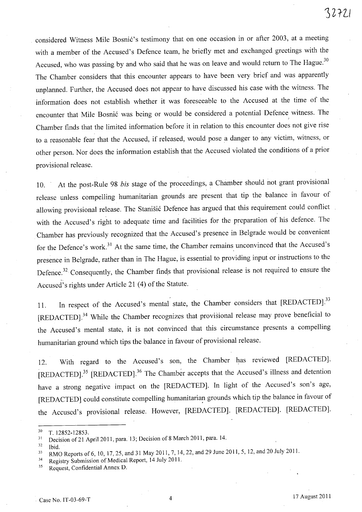considered Witness Mile Bosnic's testimony that on one occasion in or after 2003, at a meeting with a member of the Accused's Defence team, he briefly met and exchanged greetings with the Accused, who was passing by and who said that he was on leave and would return to The Hague.<sup>30</sup> The Chamber considers that this encounter appears to have been very brief and was apparently unplanned. Further, the Accused does not appear to have discussed his case with the witness. The information does not establish whether it was foreseeable to the Accused at the time of the encounter that Mile Bosnic was being or would be considered a potential Defence witness. The Chamber finds that the limited information before it in relation to this encounter does not give rise to a reasonable fear that the Accused, if released, would pose a danger to any victim, witness, or other person. Nor does the information establish that the Accused violated the conditions of a prior provisional release.

10. . At the post-Rule 98 *bis* stage of the proceedings, a Chamber should not grant provisional release unless compelling humanitarian grounds are present that tip the balance in favour of allowing provisional release. The Stanisic Defence has argued that this requirement could conflict with the Accused's right to adequate time and facilities for the preparation of his defence. The Chamber has previously recognized that the Accused's presence in Belgrade would be convenient for the Defence's work.<sup>31</sup> At the same time, the Chamber remains unconvinced that the Accused's presence in Belgrade, rather than in The Hague, is essential to providing input or instructions to the Defence.<sup>32</sup> Consequently, the Chamber finds that provisional release is not required to ensure the Accused's rights under Article 21 (4) of the Statute.

11. In respect of the Accused's mental state, the Chamber considers that [REDACTED].<sup>33</sup> [REDACTED].<sup>34</sup> While the Chamber recognizes that provisional release may prove beneficial to the Accused's mental state, it is not convinced that this circumstance presents a compelling humanitarian ground which tips the balance in favour of provisional release.

12. With regard to the Accused's son, the Chamber has reviewed [REDACTED]. [REDACTED].<sup>35</sup> [REDACTED].<sup>36</sup> The Chamber accepts that the Accused's illness and detention have a strong negative impact on the [REDACTED]. In light of the Accused's son's age, [REDACTED] could constitute compelling humanitarian grounds which tip the balance in favour of the Accused's provisional release. However, [REDACTED]. [REDACTED]. [REDACTED].

<sup>30</sup> T. 12852-12853.

<sup>&</sup>lt;sup>31</sup> Decision of 21 April 2011, para. 13; Decision of 8 March 2011, para. 14.

 $32$  Ibid.

<sup>33</sup> RMO Reports of 6, lO, 17, 25, and 31 May 2011, 7, 14, 22, and 29 June 2011, 5, 12, and 20 July 2011.

<sup>34</sup> Registry Submission of Medical Report, 14 July 2011.

<sup>35</sup> Request, Confidential Annex D.